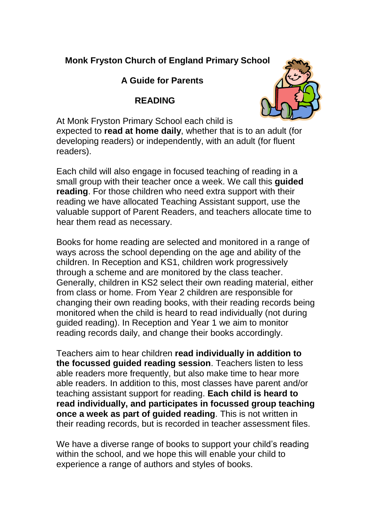# **Monk Fryston Church of England Primary School**

#### **A Guide for Parents**

## **READING**



At Monk Fryston Primary School each child is expected to **read at home daily**, whether that is to an adult (for developing readers) or independently, with an adult (for fluent readers).

Each child will also engage in focused teaching of reading in a small group with their teacher once a week. We call this **guided reading**. For those children who need extra support with their reading we have allocated Teaching Assistant support, use the valuable support of Parent Readers, and teachers allocate time to hear them read as necessary.

Books for home reading are selected and monitored in a range of ways across the school depending on the age and ability of the children. In Reception and KS1, children work progressively through a scheme and are monitored by the class teacher. Generally, children in KS2 select their own reading material, either from class or home. From Year 2 children are responsible for changing their own reading books, with their reading records being monitored when the child is heard to read individually (not during guided reading). In Reception and Year 1 we aim to monitor reading records daily, and change their books accordingly.

Teachers aim to hear children **read individually in addition to the focussed guided reading session**. Teachers listen to less able readers more frequently, but also make time to hear more able readers. In addition to this, most classes have parent and/or teaching assistant support for reading. **Each child is heard to read individually, and participates in focussed group teaching once a week as part of guided reading**. This is not written in their reading records, but is recorded in teacher assessment files.

We have a diverse range of books to support your child's reading within the school, and we hope this will enable your child to experience a range of authors and styles of books.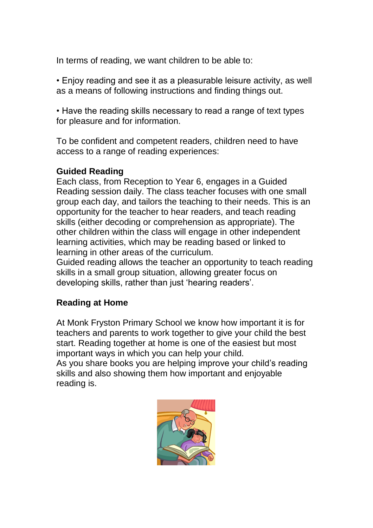In terms of reading, we want children to be able to:

• Enjoy reading and see it as a pleasurable leisure activity, as well as a means of following instructions and finding things out.

• Have the reading skills necessary to read a range of text types for pleasure and for information.

To be confident and competent readers, children need to have access to a range of reading experiences:

#### **Guided Reading**

Each class, from Reception to Year 6, engages in a Guided Reading session daily. The class teacher focuses with one small group each day, and tailors the teaching to their needs. This is an opportunity for the teacher to hear readers, and teach reading skills (either decoding or comprehension as appropriate). The other children within the class will engage in other independent learning activities, which may be reading based or linked to learning in other areas of the curriculum.

Guided reading allows the teacher an opportunity to teach reading skills in a small group situation, allowing greater focus on developing skills, rather than just 'hearing readers'.

## **Reading at Home**

At Monk Fryston Primary School we know how important it is for teachers and parents to work together to give your child the best start. Reading together at home is one of the easiest but most important ways in which you can help your child.

As you share books you are helping improve your child's reading skills and also showing them how important and enjoyable reading is.

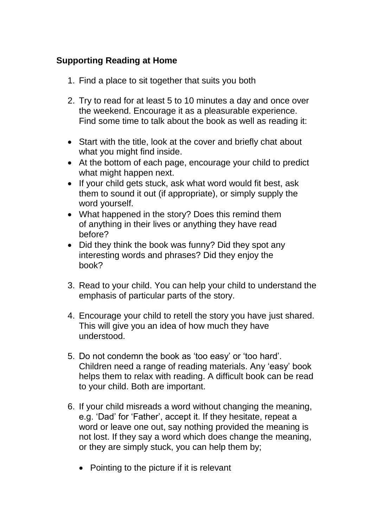## **Supporting Reading at Home**

- 1. Find a place to sit together that suits you both
- 2. Try to read for at least 5 to 10 minutes a day and once over the weekend. Encourage it as a pleasurable experience. Find some time to talk about the book as well as reading it:
- Start with the title, look at the cover and briefly chat about what you might find inside.
- At the bottom of each page, encourage your child to predict what might happen next.
- If your child gets stuck, ask what word would fit best, ask them to sound it out (if appropriate), or simply supply the word yourself.
- What happened in the story? Does this remind them of anything in their lives or anything they have read before?
- Did they think the book was funny? Did they spot any interesting words and phrases? Did they enjoy the book?
- 3. Read to your child. You can help your child to understand the emphasis of particular parts of the story.
- 4. Encourage your child to retell the story you have just shared. This will give you an idea of how much they have understood.
- 5. Do not condemn the book as 'too easy' or 'too hard'. Children need a range of reading materials. Any 'easy' book helps them to relax with reading. A difficult book can be read to your child. Both are important.
- 6. If your child misreads a word without changing the meaning, e.g. 'Dad' for 'Father', accept it. If they hesitate, repeat a word or leave one out, say nothing provided the meaning is not lost. If they say a word which does change the meaning, or they are simply stuck, you can help them by;
	- Pointing to the picture if it is relevant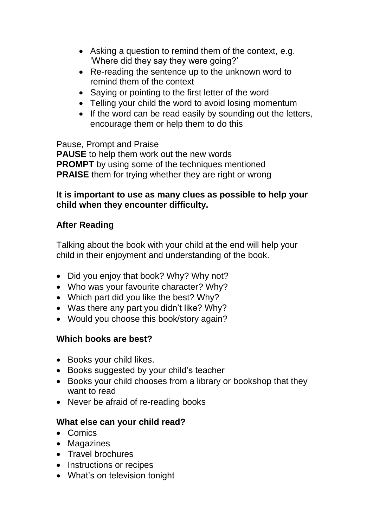- Asking a question to remind them of the context, e.g. 'Where did they say they were going?'
- Re-reading the sentence up to the unknown word to remind them of the context
- Saying or pointing to the first letter of the word
- Telling your child the word to avoid losing momentum
- If the word can be read easily by sounding out the letters, encourage them or help them to do this

Pause, Prompt and Praise

**PAUSE** to help them work out the new words **PROMPT** by using some of the techniques mentioned **PRAISE** them for trying whether they are right or wrong

#### **It is important to use as many clues as possible to help your child when they encounter difficulty.**

# **After Reading**

Talking about the book with your child at the end will help your child in their enjoyment and understanding of the book.

- Did you enjoy that book? Why? Why not?
- Who was your favourite character? Why?
- Which part did you like the best? Why?
- Was there any part you didn't like? Why?
- Would you choose this book/story again?

# **Which books are best?**

- Books your child likes.
- Books suggested by your child's teacher
- Books your child chooses from a library or bookshop that they want to read
- Never be afraid of re-reading books

## **What else can your child read?**

- Comics
- Magazines
- Travel brochures
- Instructions or recipes
- What's on television tonight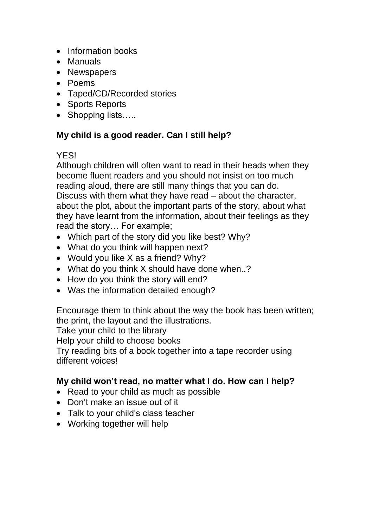- Information books
- Manuals
- Newspapers
- Poems
- Taped/CD/Recorded stories
- Sports Reports
- Shopping lists…..

# **My child is a good reader. Can I still help?**

# **YFS!**

Although children will often want to read in their heads when they become fluent readers and you should not insist on too much reading aloud, there are still many things that you can do. Discuss with them what they have read – about the character, about the plot, about the important parts of the story, about what they have learnt from the information, about their feelings as they read the story… For example;

- Which part of the story did you like best? Why?
- What do you think will happen next?
- Would you like X as a friend? Why?
- What do you think X should have done when..?
- How do you think the story will end?
- Was the information detailed enough?

Encourage them to think about the way the book has been written; the print, the layout and the illustrations.

Take your child to the library

Help your child to choose books

Try reading bits of a book together into a tape recorder using different voices!

## **My child won't read, no matter what I do. How can I help?**

- Read to your child as much as possible
- Don't make an issue out of it
- Talk to your child's class teacher
- Working together will help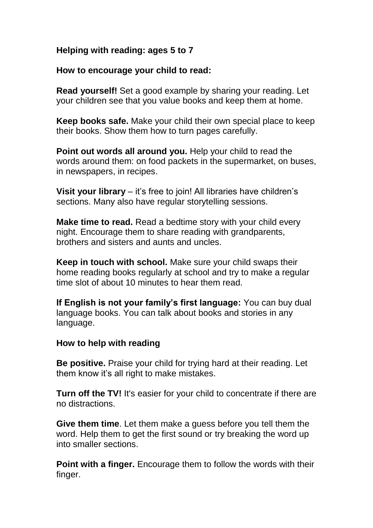#### **Helping with reading: ages 5 to 7**

#### **How to encourage your child to read:**

**Read yourself!** Set a good example by sharing your reading. Let your children see that you value books and keep them at home.

**Keep books safe.** Make your child their own special place to keep their books. Show them how to turn pages carefully.

**Point out words all around you.** Help your child to read the words around them: on food packets in the supermarket, on buses, in newspapers, in recipes.

**Visit your library** – it's free to join! All libraries have children's sections. Many also have regular storytelling sessions.

**Make time to read.** Read a bedtime story with your child every night. Encourage them to share reading with grandparents, brothers and sisters and aunts and uncles.

**Keep in touch with school.** Make sure your child swaps their home reading books regularly at school and try to make a regular time slot of about 10 minutes to hear them read.

**If English is not your family's first language:** You can buy dual language books. You can talk about books and stories in any language.

#### **How to help with reading**

**Be positive.** Praise your child for trying hard at their reading. Let them know it's all right to make mistakes.

**Turn off the TV!** It's easier for your child to concentrate if there are no distractions.

**Give them time**. Let them make a guess before you tell them the word. Help them to get the first sound or try breaking the word up into smaller sections.

**Point with a finger.** Encourage them to follow the words with their finger.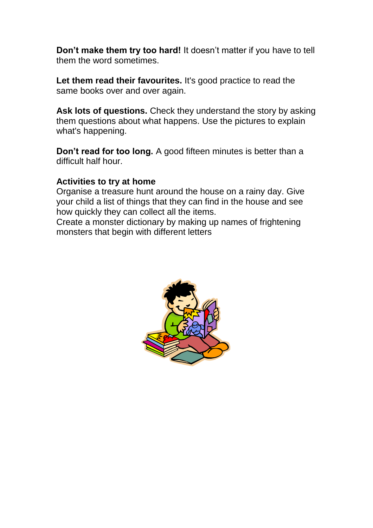**Don't make them try too hard!** It doesn't matter if you have to tell them the word sometimes.

Let them read their favourites. It's good practice to read the same books over and over again.

**Ask lots of questions.** Check they understand the story by asking them questions about what happens. Use the pictures to explain what's happening.

**Don't read for too long.** A good fifteen minutes is better than a difficult half hour.

#### **Activities to try at home**

Organise a treasure hunt around the house on a rainy day. Give your child a list of things that they can find in the house and see how quickly they can collect all the items.

Create a monster dictionary by making up names of frightening monsters that begin with different letters

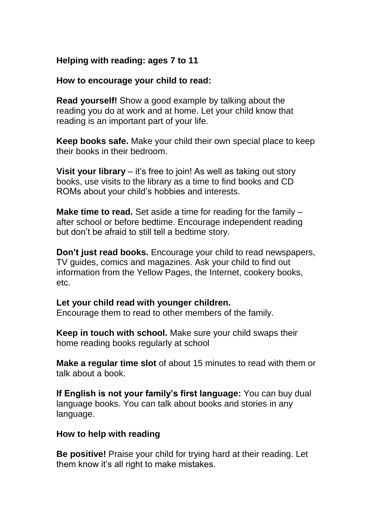#### **Helping with reading: ages 7 to 11**

#### **How to encourage your child to read:**

**Read yourself!** Show a good example by talking about the reading you do at work and at home. Let your child know that reading is an important part of your life.

**Keep books safe.** Make your child their own special place to keep their books in their bedroom.

**Visit your library** – it's free to join! As well as taking out story books, use visits to the library as a time to find books and CD ROMs about your child's hobbies and interests.

**Make time to read.** Set aside a time for reading for the family – after school or before bedtime. Encourage independent reading but don't be afraid to still tell a bedtime story.

**Don't just read books.** Encourage your child to read newspapers, TV guides, comics and magazines. Ask your child to find out information from the Yellow Pages, the Internet, cookery books, etc.

#### **Let your child read with younger children.**

Encourage them to read to other members of the family.

**Keep in touch with school.** Make sure your child swaps their home reading books regularly at school

**Make a regular time slot** of about 15 minutes to read with them or talk about a book.

**If English is not your family's first language:** You can buy dual language books. You can talk about books and stories in any language.

#### **How to help with reading**

**Be positive!** Praise your child for trying hard at their reading. Let them know it's all right to make mistakes.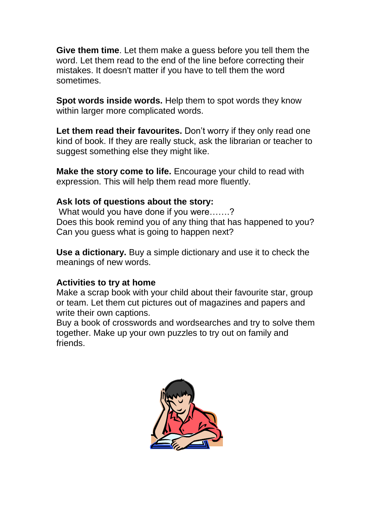**Give them time**. Let them make a guess before you tell them the word. Let them read to the end of the line before correcting their mistakes. It doesn't matter if you have to tell them the word sometimes.

**Spot words inside words.** Help them to spot words they know within larger more complicated words.

Let them read their favourites. Don't worry if they only read one kind of book. If they are really stuck, ask the librarian or teacher to suggest something else they might like.

**Make the story come to life.** Encourage your child to read with expression. This will help them read more fluently.

#### **Ask lots of questions about the story:**

What would you have done if you were…….? Does this book remind you of any thing that has happened to you? Can you guess what is going to happen next?

**Use a dictionary.** Buy a simple dictionary and use it to check the meanings of new words.

#### **Activities to try at home**

Make a scrap book with your child about their favourite star, group or team. Let them cut pictures out of magazines and papers and write their own captions.

Buy a book of crosswords and wordsearches and try to solve them together. Make up your own puzzles to try out on family and friends.

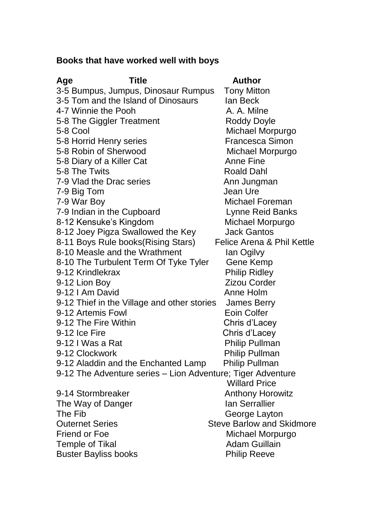# **Books that have worked well with boys**

| <b>Title</b><br>Age                                         | <b>Author</b>                    |
|-------------------------------------------------------------|----------------------------------|
| 3-5 Bumpus, Jumpus, Dinosaur Rumpus                         | <b>Tony Mitton</b>               |
| 3-5 Tom and the Island of Dinosaurs                         | lan Beck                         |
| 4-7 Winnie the Pooh                                         | A. A. Milne                      |
| 5-8 The Giggler Treatment                                   | <b>Roddy Doyle</b>               |
| 5-8 Cool                                                    | Michael Morpurgo                 |
| 5-8 Horrid Henry series                                     | <b>Francesca Simon</b>           |
| 5-8 Robin of Sherwood                                       | Michael Morpurgo                 |
| 5-8 Diary of a Killer Cat                                   | <b>Anne Fine</b>                 |
| 5-8 The Twits                                               | <b>Roald Dahl</b>                |
| 7-9 Vlad the Drac series                                    | Ann Jungman                      |
| 7-9 Big Tom                                                 | Jean Ure                         |
| 7-9 War Boy                                                 | Michael Foreman                  |
| 7-9 Indian in the Cupboard                                  | Lynne Reid Banks                 |
| 8-12 Kensuke's Kingdom                                      | Michael Morpurgo                 |
| 8-12 Joey Pigza Swallowed the Key                           | <b>Jack Gantos</b>               |
| 8-11 Boys Rule books (Rising Stars)                         | Felice Arena & Phil Kettle       |
| 8-10 Measle and the Wrathment                               | lan Ogilvy                       |
| 8-10 The Turbulent Term Of Tyke Tyler                       | Gene Kemp                        |
| 9-12 Krindlekrax                                            | <b>Philip Ridley</b>             |
| 9-12 Lion Boy                                               | <b>Zizou Corder</b>              |
| 9-12   Am David                                             | Anne Holm                        |
| 9-12 Thief in the Village and other stories                 | <b>James Berry</b>               |
| 9-12 Artemis Fowl                                           | <b>Eoin Colfer</b>               |
| 9-12 The Fire Within                                        | Chris d'Lacey                    |
| 9-12 Ice Fire                                               | Chris d'Lacey                    |
| 9-12 I Was a Rat                                            | Philip Pullman                   |
| 9-12 Clockwork                                              | <b>Philip Pullman</b>            |
| 9-12 Aladdin and the Enchanted Lamp                         | <b>Philip Pullman</b>            |
| 9-12 The Adventure series - Lion Adventure; Tiger Adventure |                                  |
|                                                             | <b>Willard Price</b>             |
| 9-14 Stormbreaker                                           | <b>Anthony Horowitz</b>          |
| The Way of Danger                                           | <b>Ian Serrallier</b>            |
| The Fib                                                     | George Layton                    |
| <b>Outernet Series</b>                                      | <b>Steve Barlow and Skidmore</b> |
| <b>Friend or Foe</b>                                        | Michael Morpurgo                 |
| <b>Temple of Tikal</b>                                      | <b>Adam Guillain</b>             |
| <b>Buster Bayliss books</b>                                 | <b>Philip Reeve</b>              |